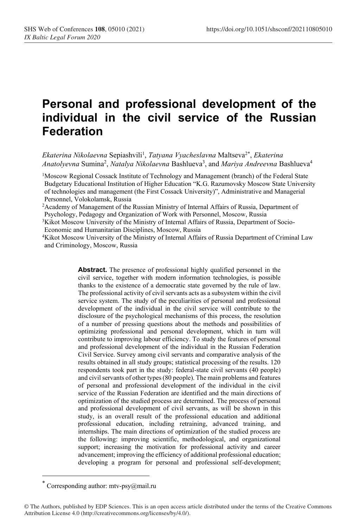# **Personal and professional development of the individual in the civil service of the Russian Federation**

*Ekaterina Nikolaevna* Sepiashvili<sup>1</sup> , *Tatyana Vyacheslavna* Maltseva2\* , *Ekaterina*  Anatolyevna Sumina<sup>2</sup>, *Natalya Nikolaevna* Bashlueva<sup>3</sup>, and *Mariya Andreevna* Bashlueva<sup>4</sup>

<sup>2</sup>Academy of Management of the Russian Ministry of Internal Affairs of Russia, Department of Psychology, Pedagogy and Organization of Work with Personnel, Moscow, Russia

- <sup>3</sup>Kikot Moscow University of the Ministry of Internal Affairs of Russia, Department of Socio-Economic and Humanitarian Disciplines, Moscow, Russia
- <sup>4</sup>Kikot Moscow University of the Ministry of Internal Affairs of Russia Department of Criminal Law and Criminology, Moscow, Russia

**Abstract.** The presence of professional highly qualified personnel in the civil service, together with modern information technologies, is possible thanks to the existence of a democratic state governed by the rule of law. The professional activity of civil servants acts as a subsystem within the civil service system. The study of the peculiarities of personal and professional development of the individual in the civil service will contribute to the disclosure of the psychological mechanisms of this process, the resolution of a number of pressing questions about the methods and possibilities of optimizing professional and personal development, which in turn will contribute to improving labour efficiency. To study the features of personal and professional development of the individual in the Russian Federation Civil Service. Survey among civil servants and comparative analysis of the results obtained in all study groups; statistical processing of the results. 120 respondents took part in the study: federal-state civil servants (40 people) and civil servants of other types (80 people). The main problems and features of personal and professional development of the individual in the civil service of the Russian Federation are identified and the main directions of optimization of the studied process are determined. The process of personal and professional development of civil servants, as will be shown in this study, is an overall result of the professional education and additional professional education, including retraining, advanced training, and internships. The main directions of optimization of the studied process are the following: improving scientific, methodological, and organizational support; increasing the motivation for professional activity and career advancement; improving the efficiency of additional professional education; developing a program for personal and professional self-development;

<sup>1</sup>Moscow Regional Cossack Institute of Technology and Management (branch) of the Federal State Budgetary Educational Institution of Higher Education "K.G. Razumovsky Moscow State University of technologies and management (the First Cossack University)", Administrative and Managerial Personnel, Volokolamsk, Russia

<sup>\*</sup> Corresponding author[: mtv-psy@mail.ru](mailto:mtv-psy@mail.ru)

<sup>©</sup> The Authors, published by EDP Sciences. This is an open access article distributed under the terms of the Creative Commons Attribution License 4.0 (http://creativecommons.org/licenses/by/4.0/).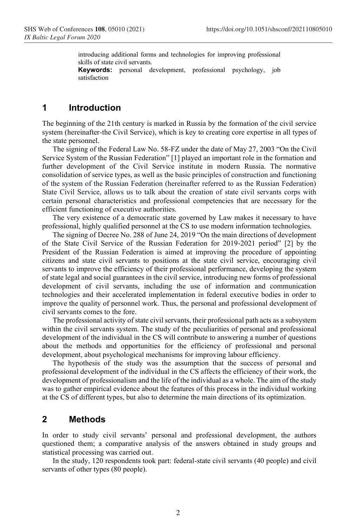introducing additional forms and technologies for improving professional skills of state civil servants. **Keywords:** personal development, professional psychology, job

satisfaction

#### **1 Introduction**

The beginning of the 21th century is marked in Russia by the formation of the civil service system (hereinafter-the Civil Service), which is key to creating core expertise in all types of the state personnel.

The signing of the Federal Law No. 58-FZ under the date of May 27, 2003 "On the Civil Service System of the Russian Federation" [1] played an important role in the formation and further development of the Civil Service institute in modern Russia. The normative consolidation of service types, as well as the basic principles of construction and functioning of the system of the Russian Federation (hereinafter referred to as the Russian Federation) State Civil Service, allows us to talk about the creation of state civil servants corps with certain personal characteristics and professional competencies that are necessary for the efficient functioning of executive authorities.

The very existence of a democratic state governed by Law makes it necessary to have professional, highly qualified personnel at the CS to use modern information technologies.

The signing of Decree No. 288 of June 24, 2019 "On the main directions of development of the State Civil Service of the Russian Federation for 2019-2021 period" [2] by the President of the Russian Federation is aimed at improving the procedure of appointing citizens and state civil servants to positions at the state civil service, encouraging civil servants to improve the efficiency of their professional performance, developing the system of state legal and social guarantees in the civil service, introducing new forms of professional development of civil servants, including the use of information and communication technologies and their accelerated implementation in federal executive bodies in order to improve the quality of personnel work. Thus, the personal and professional development of civil servants comes to the fore.

The professional activity of state civil servants, their professional path acts as a subsystem within the civil servants system. The study of the peculiarities of personal and professional development of the individual in the CS will contribute to answering a number of questions about the methods and opportunities for the efficiency of professional and personal development, about psychological mechanisms for improving labour efficiency.

The hypothesis of the study was the assumption that the success of personal and professional development of the individual in the CS affects the efficiency of their work, the development of professionalism and the life of the individual as a whole. The aim of the study was to gather empirical evidence about the features of this process in the individual working at the CS of different types, but also to determine the main directions of its optimization.

#### **2 Methods**

In order to study civil servants' personal and professional development, the authors questioned them; a comparative analysis of the answers obtained in study groups and statistical processing was carried out.

In the study, 120 respondents took part: federal-state civil servants (40 people) and civil servants of other types (80 people).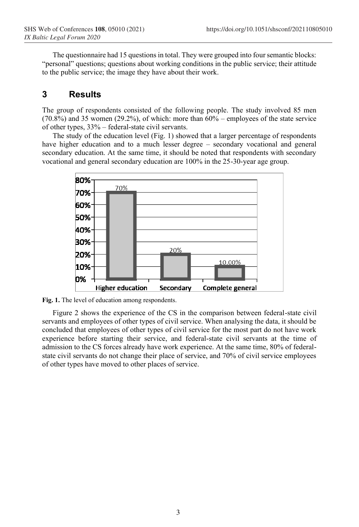The questionnaire had 15 questions in total. They were grouped into four semantic blocks: "personal" questions; questions about working conditions in the public service; their attitude to the public service; the image they have about their work.

### **3 Results**

The group of respondents consisted of the following people. The study involved 85 men  $(70.8\%)$  and 35 women  $(29.2\%)$ , of which: more than  $60\%$  – employees of the state service of other types, 33% – federal-state civil servants.

The study of the education level (Fig. 1) showed that a larger percentage of respondents have higher education and to a much lesser degree – secondary vocational and general secondary education. At the same time, it should be noted that respondents with secondary vocational and general secondary education are 100% in the 25-30-year age group.



**Fig. 1.** The level of education among respondents.

Figure 2 shows the experience of the CS in the comparison between federal-state civil servants and employees of other types of civil service. When analysing the data, it should be concluded that employees of other types of civil service for the most part do not have work experience before starting their service, and federal-state civil servants at the time of admission to the CS forces already have work experience. At the same time, 80% of federalstate civil servants do not change their place of service, and 70% of civil service employees of other types have moved to other places of service.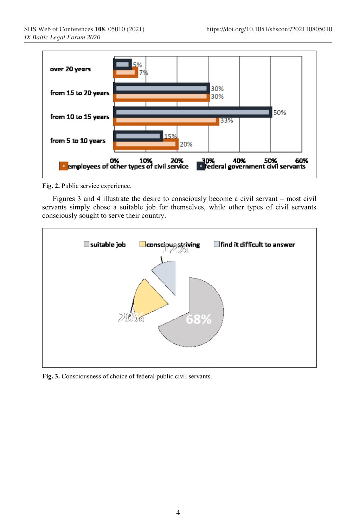

**Fig. 2.** Public service experience.

Figures 3 and 4 illustrate the desire to consciously become a civil servant – most civil servants simply chose a suitable job for themselves, while other types of civil servants consciously sought to serve their country.



**Fig. 3.** Consciousness of choice of federal public civil servants.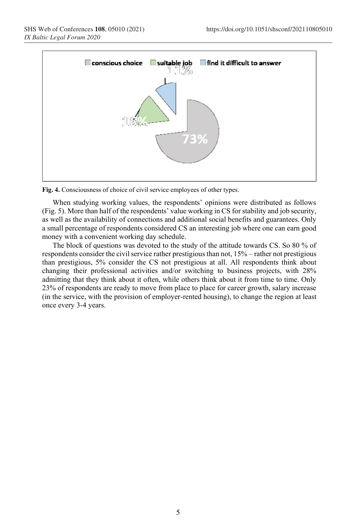

**Fig. 4.** Consciousness of choice of civil service employees of other types.

When studying working values, the respondents' opinions were distributed as follows (Fig. 5). More than half of the respondents' value working in CS for stability and job security, as well as the availability of connections and additional social benefits and guarantees. Only a small percentage of respondents considered CS an interesting job where one can earn good money with a convenient working day schedule.

The block of questions was devoted to the study of the attitude towards CS. So 80 % of respondents consider the civil service rather prestigious than not, 15% – rather not prestigious than prestigious, 5% consider the CS not prestigious at all. All respondents think about changing their professional activities and/or switching to business projects, with 28% admitting that they think about it often, while others think about it from time to time. Only 23% of respondents are ready to move from place to place for career growth, salary increase (in the service, with the provision of employer-rented housing), to change the region at least once every 3-4 years.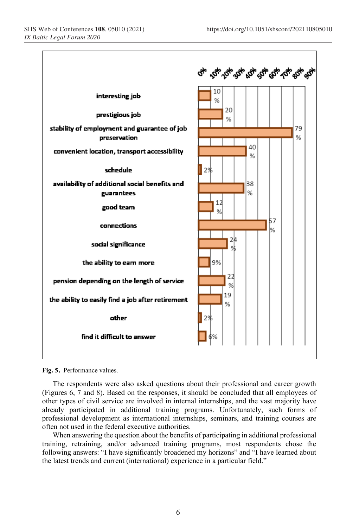

**Fig. 5**. Performance values.

The respondents were also asked questions about their professional and career growth (Figures 6, 7 and 8). Based on the responses, it should be concluded that all employees of other types of civil service are involved in internal internships, and the vast majority have already participated in additional training programs. Unfortunately, such forms of professional development as international internships, seminars, and training courses are often not used in the federal executive authorities.

When answering the question about the benefits of participating in additional professional training, retraining, and/or advanced training programs, most respondents chose the following answers: "I have significantly broadened my horizons" and "I have learned about the latest trends and current (international) experience in a particular field."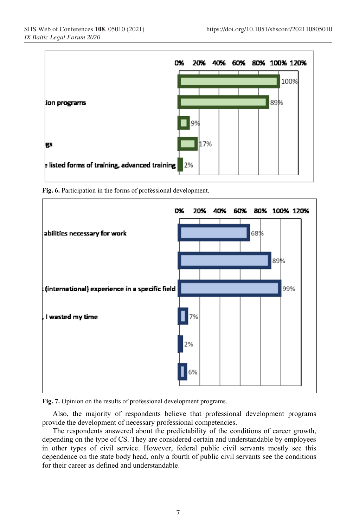

**Fig. 6.** Participation in the forms of professional development.



**Fig. 7.** Opinion on the results of professional development programs.

Also, the majority of respondents believe that professional development programs provide the development of necessary professional competencies.

The respondents answered about the predictability of the conditions of career growth, depending on the type of CS. They are considered certain and understandable by employees in other types of civil service. However, federal public civil servants mostly see this dependence on the state body head, only a fourth of public civil servants see the conditions for their career as defined and understandable.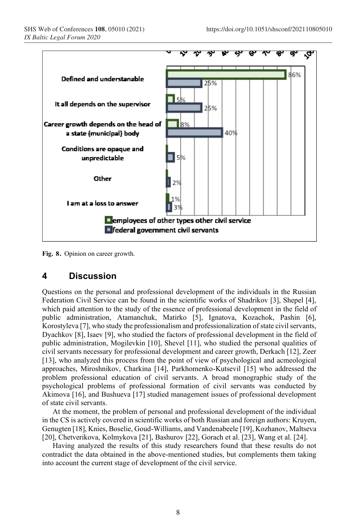

**Fig. <sup>8</sup>**. Opinion on career growth.

#### **4 Discussion**

Questions on the personal and professional development of the individuals in the Russian Federation Civil Service can be found in the scientific works of Shadrikov [3], Shepel [4], which paid attention to the study of the essence of professional development in the field of public administration, Atamanchuk, Matirko [5], Ignatova, Kozachok, Pashin [6], Korostyleva [7], who study the professionalism and professionalization of state civil servants, Dyachkov [8], Isaev [9], who studied the factors of professional development in the field of public administration, Mogilevkin [10], Shevel [11], who studied the personal qualities of civil servants necessary for professional development and career growth, Derkach [12], Zeer [13], who analyzed this process from the point of view of psychological and acmeological approaches, Miroshnikov, Charkina [14], Parkhomenko-Kutsevil [15] who addressed the problem professional education of civil servants. A broad monographic study of the psychological problems of professional formation of civil servants was conducted by Akimova [16], and Bushueva [17] studied management issues of professional development of state civil servants.

At the moment, the problem of personal and professional development of the individual in the CS is actively covered in scientific works of both Russian and foreign authors: Kruyen, Genugten [18], Knies, Boselie, Goud-Williams, and Vandenabeele [19], Kozhanov, Maltseva [20], Chetverikova, Kolmykova [21], Bashurov [22], Gorach et al. [23], Wang et al. [24].

Having analyzed the results of this study researchers found that these results do not contradict the data obtained in the above-mentioned studies, but complements them taking into account the current stage of development of the civil service.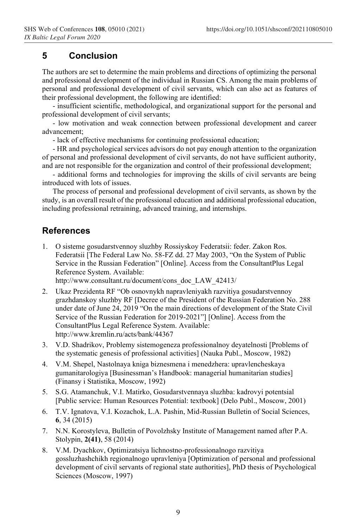# **5 Conclusion**

The authors are set to determine the main problems and directions of optimizing the personal and professional development of the individual in Russian CS. Among the main problems of personal and professional development of civil servants, which can also act as features of their professional development, the following are identified:

- insufficient scientific, methodological, and organizational support for the personal and professional development of civil servants;

- low motivation and weak connection between professional development and career advancement;

- lack of effective mechanisms for continuing professional education;

- HR and psychological services advisors do not pay enough attention to the organization of personal and professional development of civil servants, do not have sufficient authority, and are not responsible for the organization and control of their professional development;

- additional forms and technologies for improving the skills of civil servants are being introduced with lots of issues.

The process of personal and professional development of civil servants, as shown by the study, is an overall result of the professional education and additional professional education, including professional retraining, advanced training, and internships.

## **References**

1. O sisteme gosudarstvennoy sluzhby Rossiyskoy Federatsii: feder. Zakon Ros. Federatsii [The Federal Law No. 58-FZ dd. 27 May 2003, "On the System of Public Service in the Russian Federation" [Online]. Access from the ConsultantPlus Legal Reference System. Available:

http://www.consultant.ru/document/cons\_doc\_LAW\_42413/

- 2. Ukaz Prezidenta RF "Ob osnovnykh napravleniyakh razvitiya gosudarstvennoy grazhdanskoy sluzhby RF [Decree of the President of the Russian Federation No. 288 under date of June 24, 2019 "On the main directions of development of the State Civil Service of the Russian Federation for 2019-2021"] [Online]. Access from the ConsultantPlus Legal Reference System. Available: <http://www.kremlin.ru/acts/bank/44367>
- 3. V.D. Shadrikov, Problemy sistemogeneza professionalnoy deyatelnosti [Problems of the systematic genesis of professional activities] (Nauka Publ., Moscow, 1982)
- 4. V.M. Shepel, Nastolnaya kniga biznesmena i menedzhera: upravlencheskaya gumanitarologiya [Businessman's Handbook: managerial humanitarian studies] (Finansy i Statistika, Мoscow, 1992)
- 5. S.G. Atamanchuk, V.I. Matirko, Gosudarstvennaya sluzhba: kadrovyi potentsial [Public service: Human Resources Potential: textbook] (Delo Publ., Moscow, 2001)
- 6. T.V. Ignatova, V.I. Kozachok, L.A. Pashin, Mid-Russian Bulletin of Social Sciences, **6**, 34 (2015)
- 7. N.N. Korostyleva, Bulletin of Povolzhsky Institute of Management named after P.A. Stolypin, **2(41)**, 58 (2014)
- 8. V.M. Dyachkov, Optimizatsiya lichnostno-professionalnogo razvitiya gossluzhashchikh regionalnogo upravleniya [Optimization of personal and professional development of civil servants of regional state authorities], PhD thesis of Psychological Sciences (Moscow, 1997)